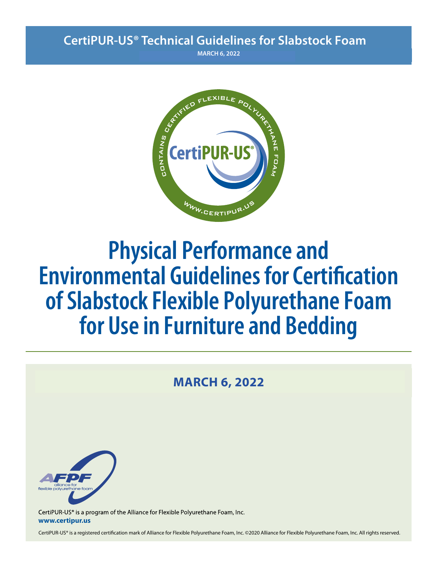# **CertiPUR-US® Technical Guidelines for Slabstock Foam**

**CONTRACH 6, 2022** 



# **Physical Performance and Environmental Guidelines for Certification of Slabstock Flexible Polyurethane Foam for Use in Furniture and Bedding**

# **MARCH 6, 2022**



CertiPUR-US® is a program of the Alliance for Flexible Polyurethane Foam, Inc. **www.certipur.us**

CertiPUR-US® is a registered certification mark of Alliance for Flexible Polyurethane Foam, Inc. ©2020 Alliance for Flexible Polyurethane Foam, Inc. All rights reserved.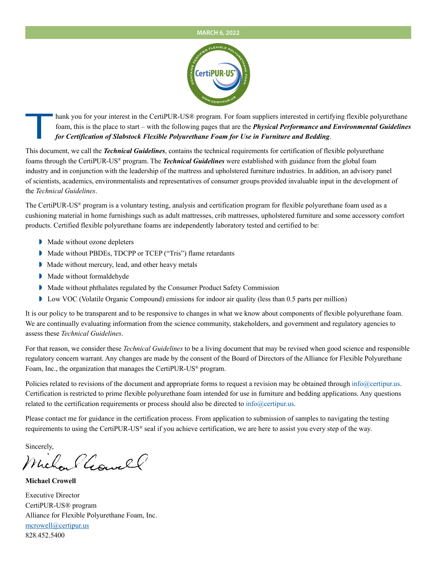#### **AUGUST 15, 2022**



Thank you for your interest in the CertiPUR-US® program. For foam suppliers interested in certifying flexible polyurethane<br>foam, this is the place to start – with the following pages that are the **Physical Performance and** foam, this is the place to start – with the following pages that are the *Physical Performance and Environmental Guidelines for Certification of Slabstock Flexible Polyurethane Foam for Use in Furniture and Bedding*.

This document, we call the *Technical Guidelines*, contains the technical requirements for certification of flexible polyurethane foams through the CertiPUR-US® program. The *Technical Guidelines* were established with guidance from the global foam industry and in conjunction with the leadership of the mattress and upholstered furniture industries. In addition, an advisory panel of scientists, academics, environmentalists and representatives of consumer groups provided invaluable input in the development of the *Technical Guidelines*.

The CertiPUR-US® program is a voluntary testing, analysis and certification program for flexible polyurethane foam used as a cushioning material in home furnishings such as adult mattresses, crib mattresses, upholstered furniture and some accessory comfort products. Certified flexible polyurethane foams are independently laboratory tested and certified to be:

- Made without ozone depleters
- Made without PBDEs, TDCPP or TCEP ("Tris") flame retardants
- Made without mercury, lead, and other heavy metals
- Made without formaldehyde
- Made without phthalates regulated by the Consumer Product Safety Commission
- **I** Low VOC (Volatile Organic Compound) emissions for indoor air quality (less than 0.5 parts per million)

It is our policy to be transparent and to be responsive to changes in what we know about components of flexible polyurethane foam. We are continually evaluating information from the science community, stakeholders, and government and regulatory agencies to assess these *Technical Guidelines*.

For that reason, we consider these *Technical Guidelines* to be a living document that may be revised when good science and responsible regulatory concern warrant. Any changes are made by the consent of the Board of Directors of the Alliance for Flexible Polyurethane Foam, Inc., the organization that manages the CertiPUR-US® program.

Policies related to revisions of the document and appropriate forms to request a revision may be obtained through info@certipur.us. Certification is restricted to prime flexible polyurethane foam intended for use in furniture and bedding applications. Any questions related to the certification requirements or process should also be directed to info@certipur.us.

Please contact me for guidance in the certification process. From application to submission of samples to navigating the testing requirements to using the CertiPUR-US® seal if you achieve certification, we are here to assist you every step of the way.

Sincerely,

Michael Gowell

**Michael Crowell**

Executive Director CertiPUR-US® program Alliance for Flexible Polyurethane Foam, Inc. mcrowell@certipur.us 828.452.5400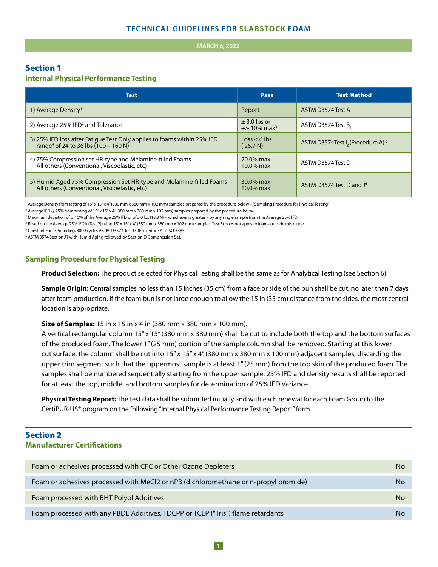#### $MARCH 6, 2022$

## Section 1

#### **Internal Physical Performance Testing**

| <b>Test</b>                                                                                                                   | Pass                                            | <b>Test Method</b>                                       |
|-------------------------------------------------------------------------------------------------------------------------------|-------------------------------------------------|----------------------------------------------------------|
| 1) Average Density <sup>1</sup>                                                                                               | Report                                          | ASTM D3574 Test A                                        |
| 2) Average 25% IFD <sup>2</sup> and Tolerance                                                                                 | $\pm$ 3.0 lbs or<br>$+/- 10\%$ max <sup>3</sup> | ASTM D3574 Test B.                                       |
| 3) 25% IFD loss after Fatique Test Only applies to foams within 25% IFD<br>range <sup>4</sup> of 24 to 36 lbs $(100 - 160 N)$ | $logs < 6$ lbs<br>(26.7 N)                      | ASTM D3574Test I <sub>3</sub> (Procedure A) <sup>5</sup> |
| 4) 75% Compression set HR-type and Melamine-filled Foams<br>All others (Conventional, Viscoelastic, etc)                      | $20.0\%$ max<br>$10.0\%$ max                    | ASTM D3574 Test D                                        |
| 5) Humid Aged 75% Compression Set HR-type and Melamine-filled Foams<br>All others (Conventional, Viscoelastic, etc)           | 30.0% max<br>$10.0\%$ max                       | ASTM D3574 Test D and J <sup>6</sup>                     |

<sup>1</sup> Average Density from testing of 15"x 15"x 4" (380 mm x 380 mm x 102 mm) samples prepared by the procedure below - "Sampling Procedure for Physical Testing"

2 Average IFD @ 25% from testing of 15" x 15" x 4" (380 mm x 380 mm x 102 mm) samples prepared by the procedure below.

3 Maximum deviation of ± 10% of the Average 25% IFD or of 3.0 lbs (13.3 N) – whichever is greater – by any single sample from the Average 25% IFD.

4 Based on the Average 25% IFD in Test 2) using 15" x 15" x 4" (380 mm x 380 mm x 102 mm) samples. Test 3) does not apply to foams outside this range.

<sup>5</sup> Constant Force Pounding, 8000 cycles ASTM D3574 Test I3 (Procedure A) / ISO 3385

6 ASTM 3574 Section J1 with Humid Aging followed by Section D Compression Set.

#### **Sampling Procedure for Physical Testing**

**Product Selection:** The product selected for Physical Testing shall be the same as for Analytical Testing (see Section 6).

**Sample Origin:** Central samples no less than 15 inches (35 cm) from a face or side of the bun shall be cut, no later than 7 days after foam production. If the foam bun is not large enough to allow the 15 in (35 cm) distance from the sides, the most central location is appropriate.

**Size of Samples:** 15 in x 15 in x 4 in (380 mm x 380 mm x 100 mm).

A vertical rectangular column 15" x 15" (380 mm x 380 mm) shall be cut to include both the top and the bottom surfaces of the produced foam. The lower 1" (25 mm) portion of the sample column shall be removed. Starting at this lower cut surface, the column shall be cut into 15" x 15" x 4" (380 mm x 380 mm x 100 mm) adjacent samples, discarding the upper trim segment such that the uppermost sample is at least 1" (25 mm) from the top skin of the produced foam. The samples shall be numbered sequentially starting from the upper sample. 25% IFD and density results shall be reported for at least the top, middle, and bottom samples for determination of 25% IFD Variance.

**Physical Testing Report:** The test data shall be submitted initially and with each renewal for each Foam Group to the CertiPUR-US® program on the following "Internal Physical Performance Testing Report" form.

## Section 2 **Manufacturer Certifications**

| Foam or adhesives processed with CFC or Other Ozone Depleters                       | <b>No</b> |
|-------------------------------------------------------------------------------------|-----------|
| Foam or adhesives processed with MeCl2 or nPB (dichloromethane or n-propyl bromide) | No        |
| Foam processed with BHT Polyol Additives                                            | <b>No</b> |
| Foam processed with any PBDE Additives, TDCPP or TCEP ("Tris") flame retardants     | No        |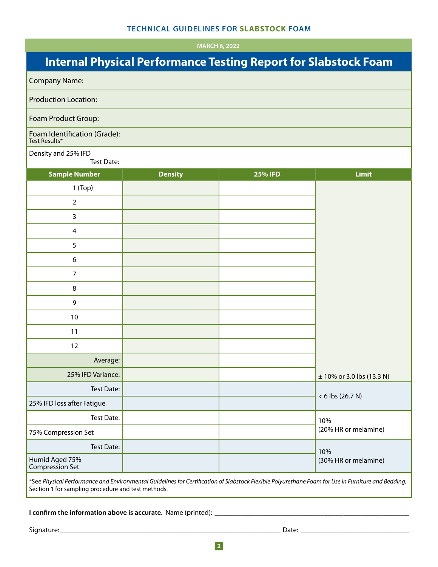**NOVEMBER 20, 2020 +"MARCH 4, 2022 6, /6"3:** 

# **Internal Physical Performance Testing Report for Slabstock Foam**

|                                               | <b>Internal Physical Performance Testing Report for Slabstock Foan</b> |                |                           |
|-----------------------------------------------|------------------------------------------------------------------------|----------------|---------------------------|
| <b>Company Name:</b>                          |                                                                        |                |                           |
| <b>Production Location:</b>                   |                                                                        |                |                           |
| Foam Product Group:                           |                                                                        |                |                           |
| Foam Identification (Grade):<br>Test Results* |                                                                        |                |                           |
| Density and 25% IFD<br><b>Test Date:</b>      |                                                                        |                |                           |
| <b>Sample Number</b>                          | <b>Density</b>                                                         | <b>25% IFD</b> | <b>Limit</b>              |
| $1$ (Top)                                     |                                                                        |                |                           |
| $\mathbf 2$                                   |                                                                        |                |                           |
| 3                                             |                                                                        |                |                           |
| $\overline{4}$                                |                                                                        |                |                           |
| 5                                             |                                                                        |                |                           |
| 6                                             |                                                                        |                |                           |
| $\overline{7}$                                |                                                                        |                |                           |
| 8                                             |                                                                        |                |                           |
| 9                                             |                                                                        |                |                           |
| 10                                            |                                                                        |                |                           |
| 11                                            |                                                                        |                |                           |
| 12                                            |                                                                        |                |                           |
| Average:                                      |                                                                        |                |                           |
| 25% IFD Variance:                             |                                                                        |                | ± 10% or 3.0 lbs (13.3 N) |
| Test Date:                                    |                                                                        |                |                           |
| 25% IFD loss after Fatigue                    |                                                                        |                | $< 6$ lbs (26.7 N)        |
| <b>Test Date:</b>                             |                                                                        |                | 10%                       |
| 75% Compression Set                           |                                                                        |                | (20% HR or melamine)      |
| Test Date:                                    |                                                                        |                | 10%                       |
| Humid Aged 75%<br>Compression Set             |                                                                        |                | (30% HR or melamine)      |
|                                               |                                                                        |                |                           |

\*See *Physical Performance and Environmental Guidelines for Certication of Slabstock Flexible Polyurethane Foam for Use in Furniture and Bedding,* Section 1 for sampling procedure and test methods.

**I conrm the information above is accurate.** Name (printed): \_\_\_\_\_\_\_\_\_\_\_\_\_\_\_\_\_\_\_\_\_\_\_\_\_\_\_\_\_\_\_\_\_\_\_\_\_\_\_\_\_\_\_\_\_\_\_\_\_\_\_\_\_\_\_\_\_\_\_\_\_\_\_\_\_\_\_\_

Signature: \_\_\_\_\_\_\_\_\_\_\_\_\_\_\_\_\_\_\_\_\_\_\_\_\_\_\_\_\_\_\_\_\_\_\_\_\_\_\_\_\_\_\_\_\_\_\_\_\_\_\_\_\_\_\_\_\_\_\_\_\_\_\_\_\_\_\_\_\_\_\_\_\_\_\_\_\_ Date: \_\_\_\_\_\_\_\_\_\_\_\_\_\_\_\_\_\_\_\_\_\_\_\_\_\_\_\_\_\_\_\_\_\_\_\_\_\_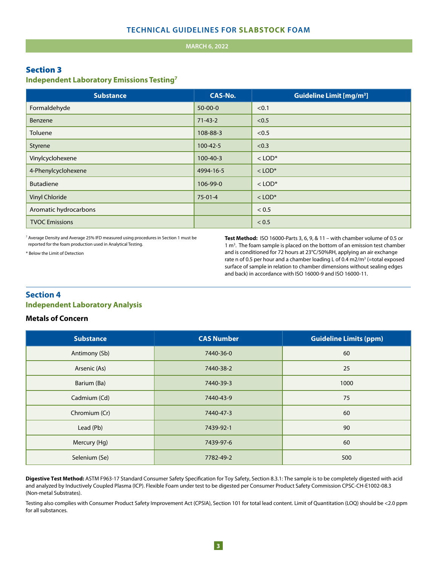#### **MARCH 6, 2022**

#### Section 3

#### **Independent Laboratory Emissions Testing7**

| <b>Substance</b>      | <b>CAS-No.</b> | <b>Guideline Limit [mg/m<sup>3</sup>]</b> |
|-----------------------|----------------|-------------------------------------------|
| Formaldehyde          | $50 - 00 - 0$  | < 0.1                                     |
| Benzene               | $71 - 43 - 2$  | < 0.5                                     |
| Toluene               | 108-88-3       | < 0.5                                     |
| Styrene               | $100 - 42 - 5$ | < 0.3                                     |
| Vinylcyclohexene      | $100 - 40 - 3$ | $<$ LOD <sup>*</sup>                      |
| 4-Phenylcyclohexene   | 4994-16-5      | $<$ LOD <sup>*</sup>                      |
| <b>Butadiene</b>      | 106-99-0       | $<$ LOD <sup>*</sup>                      |
| <b>Vinyl Chloride</b> | $75-01-4$      | $<$ LOD <sup>*</sup>                      |
| Aromatic hydrocarbons |                | < 0.5                                     |
| <b>TVOC Emissions</b> |                | < 0.5                                     |

<sup>7</sup> Average Density and Average 25% IFD measured using procedures in Section 1 must be reported for the foam production used in Analytical Testing.

\* Below the Limit of Detection

**Test Method:** ISO 16000-Parts 3, 6, 9, & 11 – with chamber volume of 0.5 or 1 m<sup>3</sup>. The foam sample is placed on the bottom of an emission test chamber and is conditioned for 72 hours at 23°C/50%RH, applying an air exchange rate n of 0.5 per hour and a chamber loading L of 0.4 m2/m<sup>3</sup> (=total exposed surface of sample in relation to chamber dimensions without sealing edges and back) in accordance with ISO 16000-9 and ISO 16000-11.

# **Section 4 Independent Laboratory Analysis**

#### **Metals of Concern**

| <b>Substance</b> | <b>CAS Number</b> | <b>Guideline Limits (ppm)</b> |
|------------------|-------------------|-------------------------------|
| Antimony (Sb)    | 7440-36-0         | 60                            |
| Arsenic (As)     | 7440-38-2         | 25                            |
| Barium (Ba)      | 7440-39-3         | 1000                          |
| Cadmium (Cd)     | 7440-43-9         | 75                            |
| Chromium (Cr)    | 7440-47-3         | 60                            |
| Lead (Pb)        | 7439-92-1         | 90                            |
| Mercury (Hg)     | 7439-97-6         | 60                            |
| Selenium (Se)    | 7782-49-2         | 500                           |

and analyzed by Inductively Coupled Plasma (ICP). Flexible Foam under test to be digested per Consumer Product Safety Commission CPSC-CH-E1002-08.3 Digestive Test Method: ASTM F963-17 Standard Consumer Safety Specification for Toy Safety, Section 8.3.1: The sample is to be completely digested with acid (Non-metal Substrates).

Testing also complies with Consumer Product Safety Improvement Act (CPSIA), Section 101 for total lead content. Limit of Quantitation (LOQ) should be <2.0 ppm for all substances.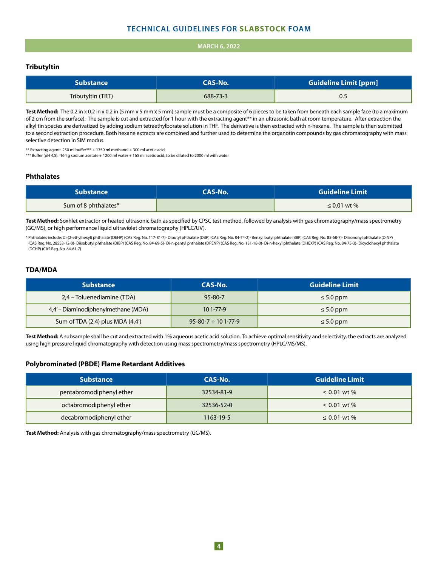#### **TECHNICAL GUIDELINES FOR SLABSTOCK FOAM**

#### **MARCH 6, 2022**

#### **Tributyltin**

| <b>Substance</b>  | CAS-No.  | <b>Guideline Limit [ppm]</b> |
|-------------------|----------|------------------------------|
| Tributyltin (TBT) | 688-73-3 | U.5                          |

Test Method: The 0.2 in x 0.2 in x 0.2 in (5 mm x 5 mm x 5 mm) sample must be a composite of 6 pieces to be taken from beneath each sample face (to a maximum of 2 cm from the surface). The sample is cut and extracted for 1 hour with the extracting agent\*\* in an ultrasonic bath at room temperature. After extraction the alkyl tin species are derivatized by adding sodium tetraethylborate solution in THF. The derivative is then extracted with n-hexane. The sample is then submitted to a second extraction procedure. Both hexane extracts are combined and further used to determine the organotin compounds by gas chromatography with mass selective detection in SIM modus.

\*\* Extracting agent: 250 ml buffer\*\*\* + 1750 ml methanol + 300 ml acetic acid

\*\*\* Buffer (pH 4,5): 164 g sodium acetate + 1200 ml water + 165 ml acetic acid, to be diluted to 2000 ml with water

#### **Phthalates**

| <b>Substance</b>     | <b>CAS-No.</b> | <b>Guideline Limit</b> |
|----------------------|----------------|------------------------|
| Sum of 8 phthalates* |                | $\leq 0.01$ wt %       |

Test Method: Soxhlet extractor or heated ultrasonic bath as specified by CPSC test method, followed by analysis with gas chromatography/mass spectrometry (GC/MS), or high performance liquid ultraviolet chromatography (HPLC/UV).

\* Phthalates include: Di-(2-ethylhexyl) phthalate (DEHP) (CAS Reg. No. 117-81-7)- Dibutyl phthalate (DBP) (CAS Reg. No. 84-74-2)- Benzyl butyl phthalate (BBP) (CAS Reg. No. 85-68-7)- Diisononyl phthalate (DINP) (CAS Reg. No. 28553-12-0)- Diisobutyl phthalate (DIBP) (CAS Reg. No. 84-69-5)- Di-n-pentyl phthalate (DPENP) (CAS Reg. No. 131-18-0)- Di-n-hexyl phthalate (DHEXP) (CAS Reg. No. 84-75-3)- Dicyclohexyl phthalate (DCHP) (CAS Reg. No. 84-61-7)

#### **TDA/MDA**

| <b>Substance</b>                     | CAS-No.                      | <b>Guideline Limit</b> |
|--------------------------------------|------------------------------|------------------------|
| 2,4 – Toluenediamine (TDA)           | $95 - 80 - 7$                | $\leq 5.0$ ppm         |
| 4,4' – Diaminodiphenylmethane (MDA)  | $101 - 77 - 9$               | $\leq 5.0$ ppm         |
| Sum of TDA $(2,4)$ plus MDA $(4,4')$ | $95 - 80 - 7 + 101 - 77 - 9$ | $\leq 5.0$ ppm         |

**Test Method:** A subsample shall be cut and extracted with 1% aqueous acetic acid solution. To achieve optimal sensitivity and selectivity, the extracts are analyzed using high pressure liquid chromatography with detection using mass spectrometry/mass spectrometry (HPLC/MS/MS).

#### **Polybrominated (PBDE) Flame Retardant Additives**

| <b>Substance</b>         | CAS-No.    | <b>Guideline Limit</b> |
|--------------------------|------------|------------------------|
| pentabromodiphenyl ether | 32534-81-9 | ≤ 0.01 wt %            |
| octabromodiphenyl ether  | 32536-52-0 | ≤ 0.01 wt %            |
| decabromodiphenyl ether  | 1163-19-5  | $\leq 0.01$ wt %       |

**Test Method:** Analysis with gas chromatography/mass spectrometry (GC/MS).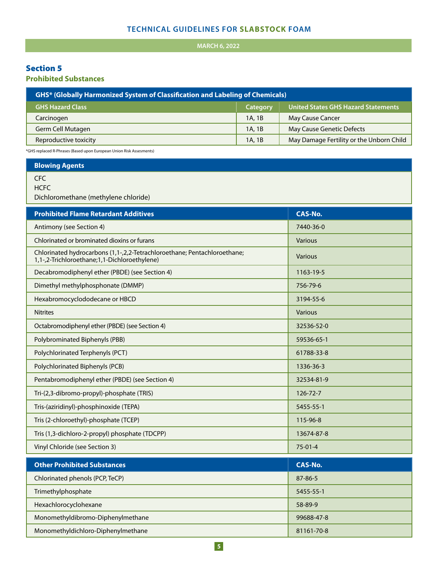## **TECHNICAL GUIDELINES FOR SLABSTOCK FOAM**

# **MARCH 6, 2022**

# Section 5

**Prohibited Substances**

| <b>GHS* (Globally Harmonized System of Classification and Labeling of Chemicals)</b> |          |                                          |
|--------------------------------------------------------------------------------------|----------|------------------------------------------|
| <b>GHS Hazard Class</b>                                                              | Category | United States GHS Hazard Statements      |
| Carcinogen                                                                           | 1A, 1B   | <b>May Cause Cancer</b>                  |
| Germ Cell Mutagen                                                                    | 1A, 1B   | May Cause Genetic Defects                |
| Reproductive toxicity                                                                | 1A, 1B   | May Damage Fertility or the Unborn Child |
|                                                                                      |          |                                          |

\*GHS replaced R-Phrases (Based upon European Union Risk Assesments)

**Blowing Agents**

CFC

**HCFC** 

Dichloromethane (methylene chloride)

| <b>Prohibited Flame Retardant Additives</b>                                                                              | <b>CAS-No.</b> |
|--------------------------------------------------------------------------------------------------------------------------|----------------|
| Antimony (see Section 4)                                                                                                 | 7440-36-0      |
| Chlorinated or brominated dioxins or furans                                                                              | Various        |
| Chlorinated hydrocarbons (1,1-,2,2-Tetrachloroethane; Pentachloroethane;<br>1,1-,2-Trichloroethane;1,1-Dichloroethylene) | <b>Various</b> |
| Decabromodiphenyl ether (PBDE) (see Section 4)                                                                           | 1163-19-5      |
| Dimethyl methylphosphonate (DMMP)                                                                                        | 756-79-6       |
| Hexabromocyclododecane or HBCD                                                                                           | 3194-55-6      |
| <b>Nitrites</b>                                                                                                          | Various        |
| Octabromodiphenyl ether (PBDE) (see Section 4)                                                                           | 32536-52-0     |
| Polybrominated Biphenyls (PBB)                                                                                           | 59536-65-1     |
| Polychlorinated Terphenyls (PCT)                                                                                         | 61788-33-8     |
| Polychlorinated Biphenyls (PCB)                                                                                          | 1336-36-3      |
| Pentabromodiphenyl ether (PBDE) (see Section 4)                                                                          | 32534-81-9     |
| Tri-(2,3-dibromo-propyl)-phosphate (TRIS)                                                                                | 126-72-7       |
| Tris-(aziridinyl)-phosphinoxide (TEPA)                                                                                   | 5455-55-1      |
| Tris (2-chloroethyl)-phosphate (TCEP)                                                                                    | 115-96-8       |
| Tris (1,3-dichloro-2-propyl) phosphate (TDCPP)                                                                           | 13674-87-8     |
| Vinyl Chloride (see Section 3)                                                                                           | $75 - 01 - 4$  |
| <b>Other Prohibited Substances</b>                                                                                       | <b>CAS-No.</b> |
| Chlorinated phenols (PCP, TeCP)                                                                                          | 87-86-5        |
|                                                                                                                          |                |
| Trimethylphosphate                                                                                                       | 5455-55-1      |
| Hexachlorocyclohexane                                                                                                    | 58-89-9        |
| Monomethyldibromo-Diphenylmethane                                                                                        | 99688-47-8     |
| Monomethyldichloro-Diphenylmethane                                                                                       | 81161-70-8     |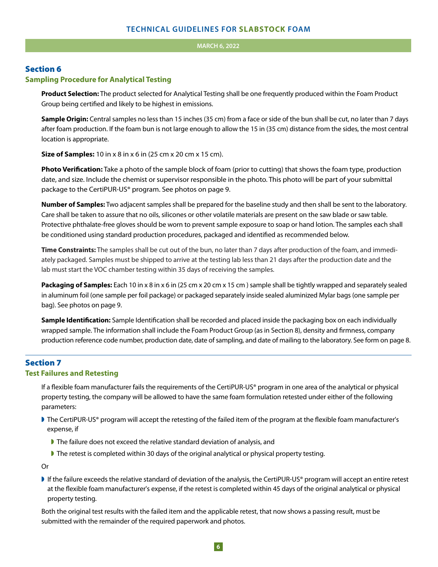#### **COVER 2012**

#### Section 6

#### **Sampling Procedure for Analytical Testing**

**Product Selection:** The product selected for Analytical Testing shall be one frequently produced within the Foam Product Group being certified and likely to be highest in emissions.

**Sample Origin:** Central samples no less than 15 inches (35 cm) from a face or side of the bun shall be cut, no later than 7 days after foam production. If the foam bun is not large enough to allow the 15 in (35 cm) distance from the sides, the most central location is appropriate.

**Size of Samples:** 10 in x 8 in x 6 in (25 cm x 20 cm x 15 cm).

**Photo Verification:** Take a photo of the sample block of foam (prior to cutting) that shows the foam type, production date, and size. Include the chemist or supervisor responsible in the photo. This photo will be part of your submittal package to the CertiPUR-US® program. See photos on page 9.

**Number of Samples:** Two adjacent samples shall be prepared for the baseline study and then shall be sent to the laboratory. Care shall be taken to assure that no oils, silicones or other volatile materials are present on the saw blade or saw table. Protective phthalate-free gloves should be worn to prevent sample exposure to soap or hand lotion. The samples each shall be conditioned using standard production procedures, packaged and identified as recommended below.

Time Constraints: The samples shall be cut out of the bun, no later than 7 days after production of the foam, and immediately packaged. Samples must be shipped to arrive at the testing lab less than 21 days after the production date and the lab must start the VOC chamber testing within 35 days of receiving the samples.

**Packaging of Samples:** Each 10 in x 8 in x 6 in (25 cm x 20 cm x 15 cm ) sample shall be tightly wrapped and separately sealed in aluminum foil (one sample per foil package) or packaged separately inside sealed aluminized Mylar bags (one sample per bag). See photos on page 9.

**Sample Identification:** Sample Identification shall be recorded and placed inside the packaging box on each individually wrapped sample. The information shall include the Foam Product Group (as in Section 8), density and firmness, company production reference code number, production date, date of sampling, and date of mailing to the laboratory. See form on page 8.

## Section 7

#### **Test Failures and Retesting**

If a flexible foam manufacturer fails the requirements of the CertiPUR-US® program in one area of the analytical or physical property testing, the company will be allowed to have the same foam formulation retested under either of the following parameters:

- If The CertiPUR-US® program will accept the retesting of the failed item of the program at the flexible foam manufacturer's expense, if
	- If The failure does not exceed the relative standard deviation of analysis, and
	- If The retest is completed within 30 days of the original analytical or physical property testing.

Or

If the failure exceeds the relative standard of deviation of the analysis, the CertiPUR-US® program will accept an entire retest at the flexible foam manufacturer's expense, if the retest is completed within 45 days of the original analytical or physical property testing.

Both the original test results with the failed item and the applicable retest, that now shows a passing result, must be submitted with the remainder of the required paperwork and photos.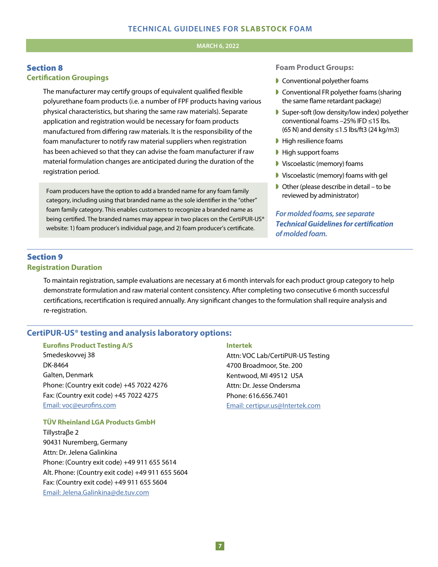#### **1, <b>1, 2022 1, 2022**

#### Section 8 **Certification Groupings**

The manufacturer may certify groups of equivalent qualified flexible polyurethane foam products (i.e. a number of FPF products having various physical characteristics, but sharing the same raw materials). Separate application and registration would be necessary for foam products manufactured from differing raw materials. It is the responsibility of the foam manufacturer to notify raw material suppliers when registration has been achieved so that they can advise the foam manufacturer if raw material formulation changes are anticipated during the duration of the registration period.

Foam producers have the option to add a branded name for any foam family category, including using that branded name as the sole identifier in the "other" foam family category. This enables customers to recognize a branded name as being certified. The branded names may appear in two places on the CertiPUR-US® website: 1) foam producer's individual page, and 2) foam producer's certificate.

#### **Foam Product Groups:**

- $\blacktriangleright$  Conventional polyether foams
- Conventional FR polyether foams (sharing the same flame retardant package)
- $\blacktriangleright$  Super-soft (low density/low index) polyether conventional foams –25% IFD ≤15 lbs. (65 N) and density ≤1.5 lbs/ft3 (24 kg/m3)
- $\blacktriangleright$  High resilience foams
- $\blacktriangleright$  High support foams
- **Viscoelastic (memory) foams**
- $\blacktriangleright$  Viscoelastic (memory) foams with gel
- $\triangleright$  Other (please describe in detail to be reviewed by administrator)

*For molded foams, see separate Technical Guidelines for certication of molded foam.*

## Section 9 **Registration Duration**

To maintain registration, sample evaluations are necessary at 6 month intervals for each product group category to help demonstrate formulation and raw material content consistency. After completing two consecutive 6 month successful certifications, recertification is required annually. Any significant changes to the formulation shall require analysis and re-registration.

#### **CertiPUR-US® testing and analysis laboratory options:**

#### **Eurofins Product Testing A/S**

Smedeskovvej 38 DK-8464 Galten, Denmark Phone: (Country exit code) +45 7022 4276 Fax: (Country exit code) +45 7022 4275 Email: voc@eurofins.com

#### **TÜV Rheinland LGA Products GmbH**

Tillystraβe 2 90431 Nuremberg, Germany Attn: Dr. Jelena Galinkina Phone: (Country exit code) +49 911 655 5614 Alt. Phone: (Country exit code) +49 911 655 5604 Fax: (Country exit code) +49 911 655 5604 Email: Jelena.Galinkina@de.tuv.com

#### **Intertek**

Attn: VOC Lab/CertiPUR-US Testing 4700 Broadmoor, Ste. 200 Kentwood, MI 49512 USA Attn: Dr. Jesse Ondersma Phone: 616.656.7401 Email: certipur.us@Intertek.com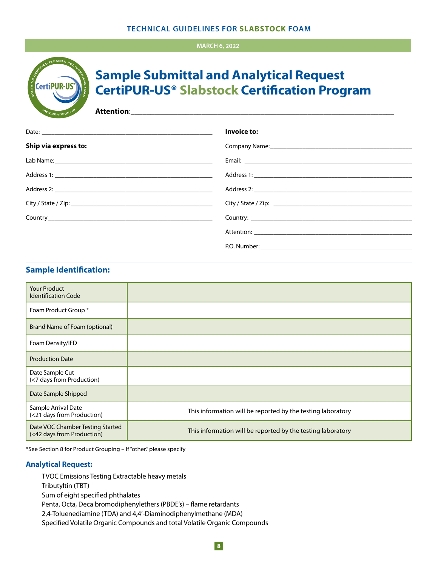#### **TECHNICAL GUIDELINES FOR SLABSTOCK FOAM**

#### **MARCH 6, 2022**



# **Sample Submittal and Analytical Request CertiPUR-US® Slabstock Certification Program**

**Attention**:\_\_\_\_\_\_\_\_\_\_\_\_\_\_\_\_\_\_\_\_\_\_\_\_\_\_\_\_\_\_\_\_\_\_\_\_\_\_\_\_\_\_\_\_\_\_\_\_\_\_\_\_\_\_\_\_\_\_\_\_\_\_\_\_\_\_\_

|                      | Invoice to:                           |
|----------------------|---------------------------------------|
| Ship via express to: | Company Name: 1988 Company Name: 1988 |
|                      |                                       |
|                      |                                       |
|                      |                                       |
|                      |                                       |
|                      |                                       |
|                      |                                       |
|                      |                                       |

# **Sample Identification:**

| <b>Your Product</b><br><b>Identification Code</b>              |                                                             |
|----------------------------------------------------------------|-------------------------------------------------------------|
| Foam Product Group *                                           |                                                             |
| Brand Name of Foam (optional)                                  |                                                             |
| Foam Density/IFD                                               |                                                             |
| <b>Production Date</b>                                         |                                                             |
| Date Sample Cut<br>(<7 days from Production)                   |                                                             |
| Date Sample Shipped                                            |                                                             |
| Sample Arrival Date<br>(<21 days from Production)              | This information will be reported by the testing laboratory |
| Date VOC Chamber Testing Started<br>(<42 days from Production) | This information will be reported by the testing laboratory |

\*See Section 8 for Product Grouping – If "other," please specify

#### **Analytical Request:**

TVOC Emissions Testing Extractable heavy metals Tributyltin (TBT) Sum of eight specified phthalates Penta, Octa, Deca bromodiphenylethers (PBDE's) – flame retardants 2,4-Toluenediamine (TDA) and 4,4'-Diaminodiphenylmethane (MDA) Specified Volatile Organic Compounds and total Volatile Organic Compounds